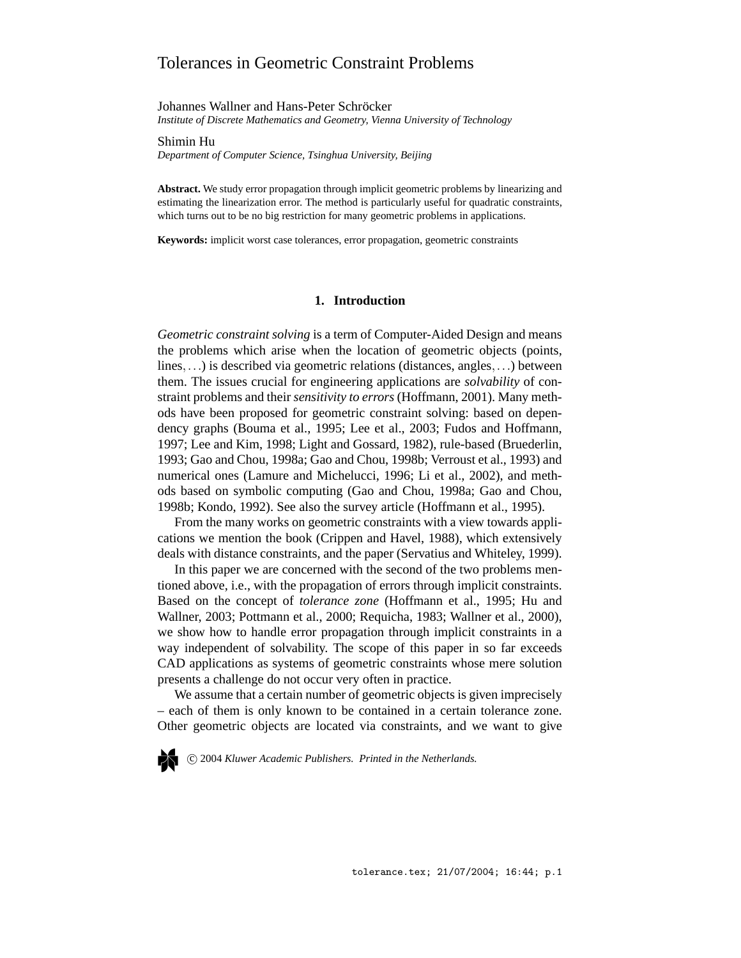# Tolerances in Geometric Constraint Problems

Johannes Wallner and Hans-Peter Schröcker *Institute of Discrete Mathematics and Geometry, Vienna University of Technology*

Shimin Hu

*Department of Computer Science, Tsinghua University, Beijing*

**Abstract.** We study error propagation through implicit geometric problems by linearizing and estimating the linearization error. The method is particularly useful for quadratic constraints, which turns out to be no big restriction for many geometric problems in applications.

**Keywords:** implicit worst case tolerances, error propagation, geometric constraints

## **1. Introduction**

*Geometric constraint solving* is a term of Computer-Aided Design and means the problems which arise when the location of geometric objects (points, lines,...) is described via geometric relations (distances, angles,...) between them. The issues crucial for engineering applications are *solvability* of constraint problems and their *sensitivity to errors* (Hoffmann, 2001). Many methods have been proposed for geometric constraint solving: based on dependency graphs (Bouma et al., 1995; Lee et al., 2003; Fudos and Hoffmann, 1997; Lee and Kim, 1998; Light and Gossard, 1982), rule-based (Bruederlin, 1993; Gao and Chou, 1998a; Gao and Chou, 1998b; Verroust et al., 1993) and numerical ones (Lamure and Michelucci, 1996; Li et al., 2002), and methods based on symbolic computing (Gao and Chou, 1998a; Gao and Chou, 1998b; Kondo, 1992). See also the survey article (Hoffmann et al., 1995).

From the many works on geometric constraints with a view towards applications we mention the book (Crippen and Havel, 1988), which extensively deals with distance constraints, and the paper (Servatius and Whiteley, 1999).

In this paper we are concerned with the second of the two problems mentioned above, i.e., with the propagation of errors through implicit constraints. Based on the concept of *tolerance zone* (Hoffmann et al., 1995; Hu and Wallner, 2003; Pottmann et al., 2000; Requicha, 1983; Wallner et al., 2000), we show how to handle error propagation through implicit constraints in a way independent of solvability. The scope of this paper in so far exceeds CAD applications as systems of geometric constraints whose mere solution presents a challenge do not occur very often in practice.

We assume that a certain number of geometric objects is given imprecisely – each of them is only known to be contained in a certain tolerance zone. Other geometric objects are located via constraints, and we want to give

c 2004 *Kluwer Academic Publishers. Printed in the Netherlands.*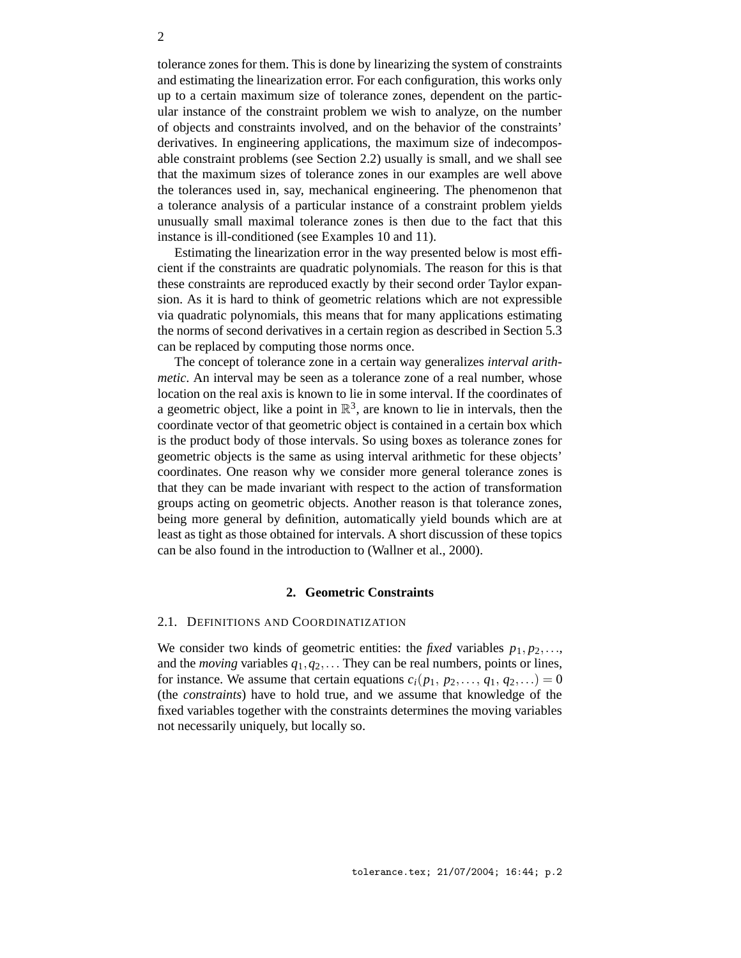tolerance zones for them. This is done by linearizing the system of constraints and estimating the linearization error. For each configuration, this works only up to a certain maximum size of tolerance zones, dependent on the particular instance of the constraint problem we wish to analyze, on the number of objects and constraints involved, and on the behavior of the constraints' derivatives. In engineering applications, the maximum size of indecomposable constraint problems (see Section 2.2) usually is small, and we shall see that the maximum sizes of tolerance zones in our examples are well above the tolerances used in, say, mechanical engineering. The phenomenon that a tolerance analysis of a particular instance of a constraint problem yields unusually small maximal tolerance zones is then due to the fact that this instance is ill-conditioned (see Examples 10 and 11).

Estimating the linearization error in the way presented below is most efficient if the constraints are quadratic polynomials. The reason for this is that these constraints are reproduced exactly by their second order Taylor expansion. As it is hard to think of geometric relations which are not expressible via quadratic polynomials, this means that for many applications estimating the norms of second derivatives in a certain region as described in Section 5.3 can be replaced by computing those norms once.

The concept of tolerance zone in a certain way generalizes *interval arithmetic*. An interval may be seen as a tolerance zone of a real number, whose location on the real axis is known to lie in some interval. If the coordinates of a geometric object, like a point in  $\mathbb{R}^3$ , are known to lie in intervals, then the coordinate vector of that geometric object is contained in a certain box which is the product body of those intervals. So using boxes as tolerance zones for geometric objects is the same as using interval arithmetic for these objects' coordinates. One reason why we consider more general tolerance zones is that they can be made invariant with respect to the action of transformation groups acting on geometric objects. Another reason is that tolerance zones, being more general by definition, automatically yield bounds which are at least as tight as those obtained for intervals. A short discussion of these topics can be also found in the introduction to (Wallner et al., 2000).

## **2. Geometric Constraints**

### 2.1. DEFINITIONS AND COORDINATIZATION

We consider two kinds of geometric entities: the *fixed* variables  $p_1, p_2, \ldots$ , and the *moving* variables  $q_1, q_2, \ldots$  They can be real numbers, points or lines, for instance. We assume that certain equations  $c_i(p_1, p_2, \ldots, q_1, q_2, \ldots) = 0$ (the *constraints*) have to hold true, and we assume that knowledge of the fixed variables together with the constraints determines the moving variables not necessarily uniquely, but locally so.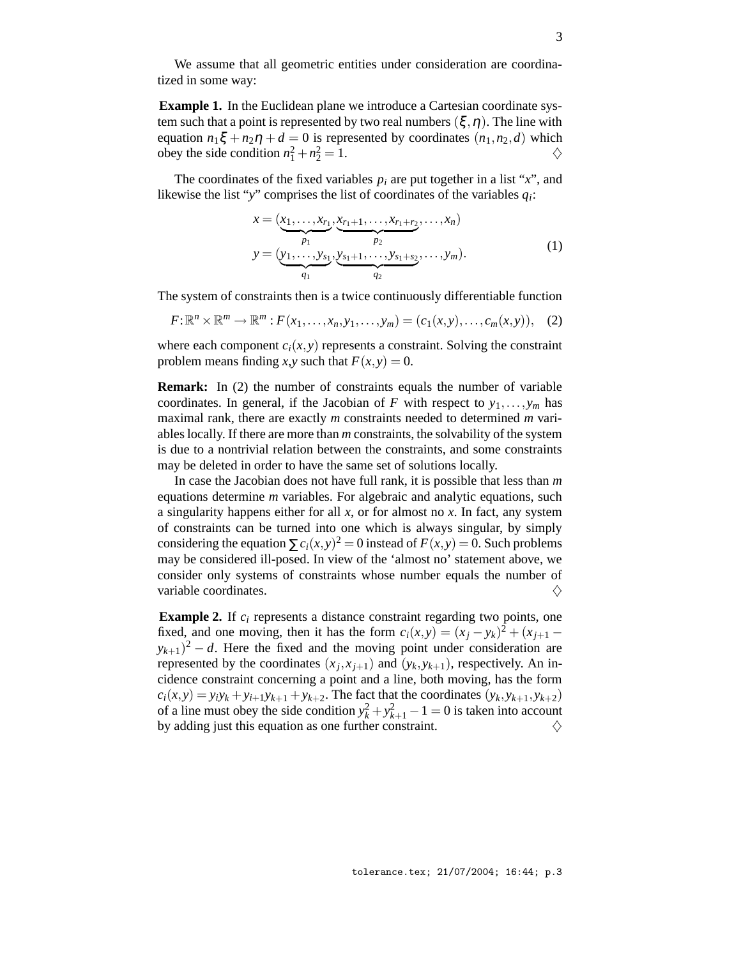We assume that all geometric entities under consideration are coordinatized in some way:

**Example 1.** In the Euclidean plane we introduce a Cartesian coordinate system such that a point is represented by two real numbers  $(\xi, \eta)$ . The line with equation  $n_1 \xi + n_2 \eta + d = 0$  is represented by coordinates  $(n_1, n_2, d)$  which obey the side condition  $n_1^2 + n_2^2 = 1$ .

The coordinates of the fixed variables  $p_i$  are put together in a list " $x$ ", and likewise the list "*y*" comprises the list of coordinates of the variables *q<sup>i</sup>* :

$$
x = (\underbrace{x_1, \dots, x_{r_1}}_{p_1}, \underbrace{x_{r_1+1}, \dots, x_{r_1+r_2}}_{p_2}, \dots, x_n)
$$
\n
$$
y = (\underbrace{y_1, \dots, y_{s_1}}_{q_1}, \underbrace{y_{s_1+1}, \dots, y_{s_1+s_2}}_{q_2}, \dots, y_m).
$$
\n(1)

The system of constraints then is a twice continuously differentiable function

 $F: \mathbb{R}^n \times \mathbb{R}^m \to \mathbb{R}^m : F(x_1, \ldots, x_n, y_1, \ldots, y_m) = (c_1(x, y), \ldots, c_m(x, y)),$  (2)

where each component  $c_i(x, y)$  represents a constraint. Solving the constraint problem means finding *x*,*y* such that  $F(x, y) = 0$ .

**Remark:** In (2) the number of constraints equals the number of variable coordinates. In general, if the Jacobian of *F* with respect to  $y_1, \ldots, y_m$  has maximal rank, there are exactly *m* constraints needed to determined *m* variableslocally. If there are more than *m* constraints, the solvability of the system is due to a nontrivial relation between the constraints, and some constraints may be deleted in order to have the same set of solutions locally.

In case the Jacobian does not have full rank, it is possible that less than *m* equations determine *m* variables. For algebraic and analytic equations, such a singularity happens either for all  $x$ , or for almost no  $x$ . In fact, any system of constraints can be turned into one which is always singular, by simply considering the equation  $\sum c_i(x, y)^2 = 0$  instead of  $F(x, y) = 0$ . Such problems may be considered ill-posed. In view of the 'almost no' statement above, we consider only systems of constraints whose number equals the number of variable coordinates.  $\Diamond$ 

**Example 2.** If *c<sup>i</sup>* represents a distance constraint regarding two points, one fixed, and one moving, then it has the form  $c_i(x, y) = (x_j - y_k)^2 + (x_{j+1} - y_k)^2$  $(y_{k+1})^2 - d$ . Here the fixed and the moving point under consideration are represented by the coordinates  $(x_j, x_{j+1})$  and  $(y_k, y_{k+1})$ , respectively. An incidence constraint concerning a point and a line, both moving, has the form  $c_i(x, y) = y_i y_k + y_{i+1} y_{k+1} + y_{k+2}$ . The fact that the coordinates  $(y_k, y_{k+1}, y_{k+2})$ of a line must obey the side condition  $y_k^2 + y_{k+1}^2 - 1 = 0$  is taken into account by adding just this equation as one further constraint.  $\diamondsuit$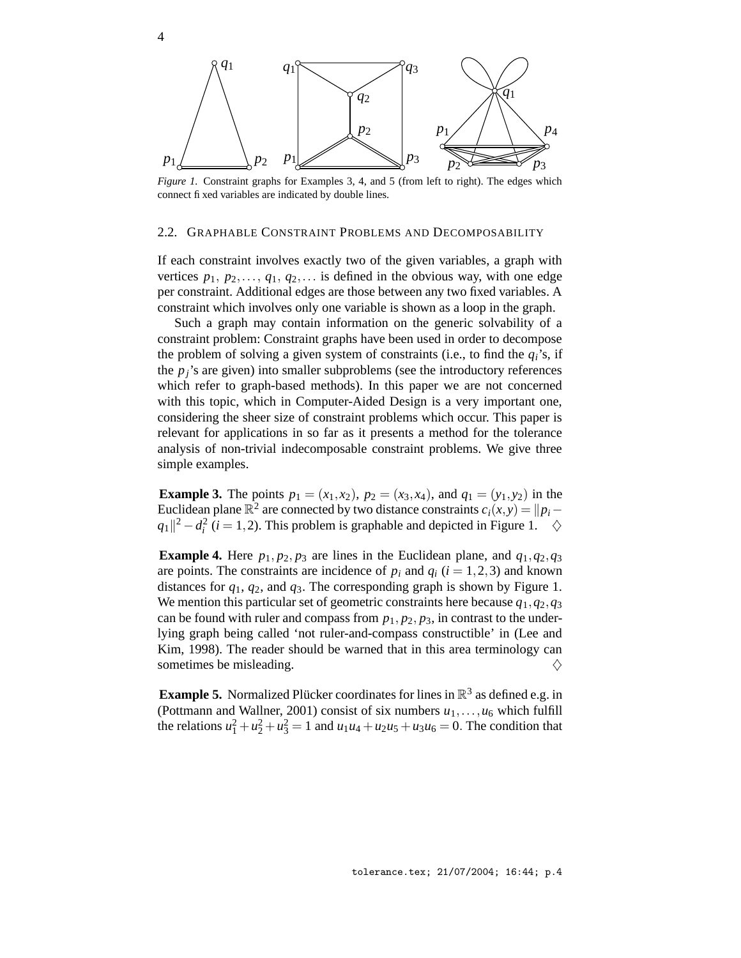

*Figure 1.* Constraint graphs for Examples 3, 4, and 5 (from left to right). The edges which connect fixed variables are indicated by double lines.

## 2.2. GRAPHABLE CONSTRAINT PROBLEMS AND DECOMPOSABILITY

If each constraint involves exactly two of the given variables, a graph with vertices  $p_1, p_2, \ldots, q_1, q_2, \ldots$  is defined in the obvious way, with one edge per constraint. Additional edges are those between any two fixed variables. A constraint which involves only one variable is shown as a loop in the graph.

Such a graph may contain information on the generic solvability of a constraint problem: Constraint graphs have been used in order to decompose the problem of solving a given system of constraints (i.e., to find the  $q_i$ 's, if the  $p_i$ 's are given) into smaller subproblems (see the introductory references which refer to graph-based methods). In this paper we are not concerned with this topic, which in Computer-Aided Design is a very important one, considering the sheer size of constraint problems which occur. This paper is relevant for applications in so far as it presents a method for the tolerance analysis of non-trivial indecomposable constraint problems. We give three simple examples.

**Example 3.** The points  $p_1 = (x_1, x_2), p_2 = (x_3, x_4),$  and  $q_1 = (y_1, y_2)$  in the Euclidean plane  $\mathbb{R}^2$  are connected by two distance constraints  $c_i(x, y) = ||p_i - \hat{p}_i||$  $q_1\|^2 - d_i^2$  (*i* = 1, 2). This problem is graphable and depicted in Figure 1.  $\diamond$ 

**Example 4.** Here  $p_1, p_2, p_3$  are lines in the Euclidean plane, and  $q_1, q_2, q_3$ are points. The constraints are incidence of  $p_i$  and  $q_i$  ( $i = 1, 2, 3$ ) and known distances for *q*1, *q*2, and *q*3. The corresponding graph is shown by Figure 1. We mention this particular set of geometric constraints here because *q*1,*q*2,*q*<sup>3</sup> can be found with ruler and compass from  $p_1$ ,  $p_2$ ,  $p_3$ , in contrast to the underlying graph being called 'not ruler-and-compass constructible' in (Lee and Kim, 1998). The reader should be warned that in this area terminology can sometimes be misleading.  $\Diamond$ 

**Example 5.** Normalized Plücker coordinates for lines in  $\mathbb{R}^3$  as defined e.g. in (Pottmann and Wallner, 2001) consist of six numbers  $u_1, \ldots, u_6$  which fulfill the relations  $u_1^2 + u_2^2 + u_3^2 = 1$  and  $u_1u_4 + u_2u_5 + u_3u_6 = 0$ . The condition that

4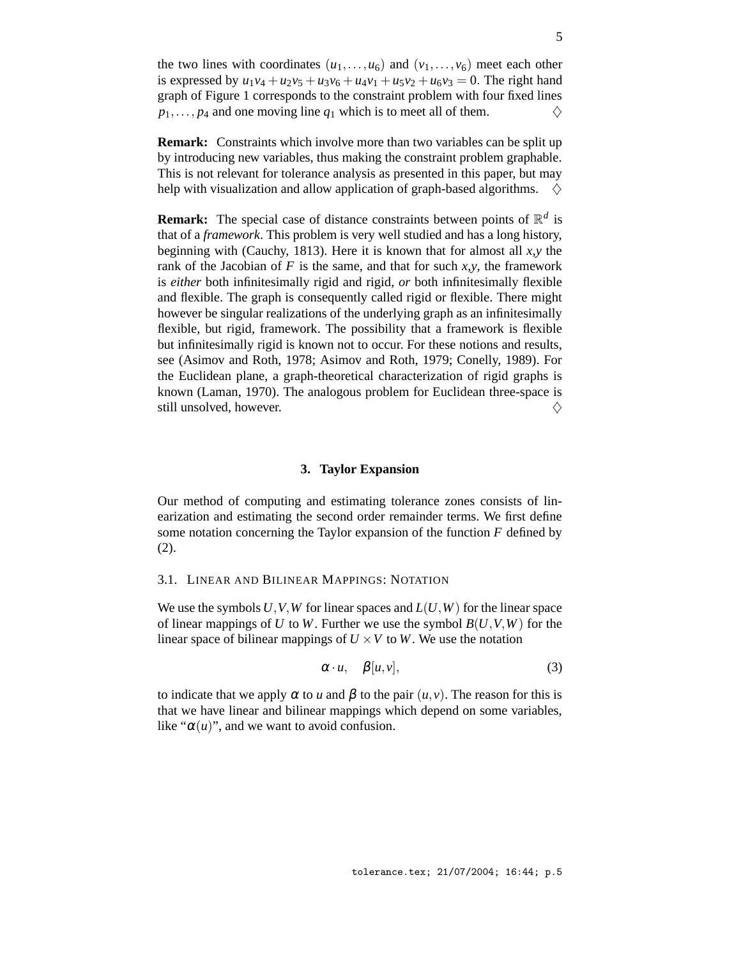the two lines with coordinates  $(u_1, \ldots, u_6)$  and  $(v_1, \ldots, v_6)$  meet each other is expressed by  $u_1v_4 + u_2v_5 + u_3v_6 + u_4v_1 + u_5v_2 + u_6v_3 = 0$ . The right hand graph of Figure 1 corresponds to the constraint problem with four fixed lines  $p_1, \ldots, p_4$  and one moving line  $q_1$  which is to meet all of them.  $\diamondsuit$ 

**Remark:** Constraints which involve more than two variables can be split up by introducing new variables, thus making the constraint problem graphable. This is not relevant for tolerance analysis as presented in this paper, but may help with visualization and allow application of graph-based algorithms.  $\Diamond$ 

**Remark:** The special case of distance constraints between points of  $\mathbb{R}^d$  is that of a *framework*. This problem is very well studied and has a long history, beginning with (Cauchy, 1813). Here it is known that for almost all *x*,*y* the rank of the Jacobian of  $F$  is the same, and that for such  $x, y$ , the framework is *either* both infinitesimally rigid and rigid, *or* both infinitesimally flexible and flexible. The graph is consequently called rigid or flexible. There might however be singular realizations of the underlying graph as an infinitesimally flexible, but rigid, framework. The possibility that a framework is flexible but infinitesimally rigid is known not to occur. For these notions and results, see (Asimov and Roth, 1978; Asimov and Roth, 1979; Conelly, 1989). For the Euclidean plane, a graph-theoretical characterization of rigid graphs is known (Laman, 1970). The analogous problem for Euclidean three-space is still unsolved, however.  $\Diamond$ 

### **3. Taylor Expansion**

Our method of computing and estimating tolerance zones consists of linearization and estimating the second order remainder terms. We first define some notation concerning the Taylor expansion of the function *F* defined by (2).

## 3.1. LINEAR AND BILINEAR MAPPINGS: NOTATION

We use the symbols *U*,*V*,*W* for linear spaces and *L*(*U*,*W*) for the linear space of linear mappings of *U* to *W*. Further we use the symbol  $B(U, V, W)$  for the linear space of bilinear mappings of  $U \times V$  to W. We use the notation

$$
\alpha \cdot u, \quad \beta[u, v], \tag{3}
$$

to indicate that we apply  $\alpha$  to *u* and  $\beta$  to the pair  $(u, v)$ . The reason for this is that we have linear and bilinear mappings which depend on some variables, like " $\alpha(u)$ ", and we want to avoid confusion.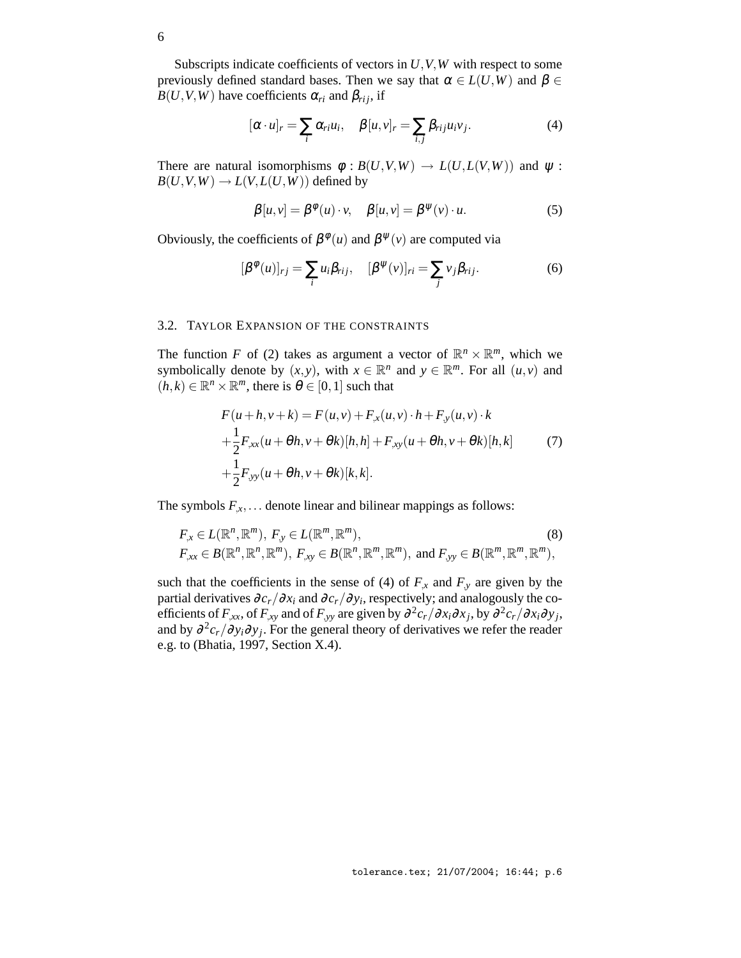Subscripts indicate coefficients of vectors in *U*,*V*,*W* with respect to some previously defined standard bases. Then we say that  $\alpha \in L(U, W)$  and  $\beta \in L(U, W)$  $B(U,V,W)$  have coefficients  $\alpha_{ri}$  and  $\beta_{rij}$ , if

$$
[\alpha \cdot u]_r = \sum_i \alpha_{ri} u_i, \quad \beta [u, v]_r = \sum_{i,j} \beta_{rij} u_i v_j.
$$
 (4)

There are natural isomorphisms  $\phi : B(U, V, W) \to L(U, L(V, W))$  and  $\psi$ :  $B(U, V, W) \rightarrow L(V, L(U, W))$  defined by

$$
\beta[u,v] = \beta^{\phi}(u) \cdot v, \quad \beta[u,v] = \beta^{\psi}(v) \cdot u. \tag{5}
$$

Obviously, the coefficients of  $\beta^{\phi}(u)$  and  $\beta^{\psi}(v)$  are computed via

$$
[\beta^{\phi}(u)]_{rj} = \sum_{i} u_i \beta_{rij}, \quad [\beta^{\psi}(v)]_{ri} = \sum_{j} v_j \beta_{rij}.
$$
 (6)

#### 3.2. TAYLOR EXPANSION OF THE CONSTRAINTS

The function *F* of (2) takes as argument a vector of  $\mathbb{R}^n \times \mathbb{R}^m$ , which we symbolically denote by  $(x, y)$ , with  $x \in \mathbb{R}^n$  and  $y \in \mathbb{R}^m$ . For all  $(u, v)$  and  $(h,k) \in \mathbb{R}^n \times \mathbb{R}^m$ , there is  $\theta \in [0,1]$  such that

$$
F(u+h, v+k) = F(u, v) + F_{,x}(u, v) \cdot h + F_{,y}(u, v) \cdot k + \frac{1}{2} F_{,xx}(u + \theta h, v + \theta k)[h, h] + F_{,xy}(u + \theta h, v + \theta k)[h, k] + \frac{1}{2} F_{,yy}(u + \theta h, v + \theta k)[k, k].
$$
 (7)

The symbols  $F_x$ ,... denote linear and bilinear mappings as follows:

$$
F_{,x} \in L(\mathbb{R}^n, \mathbb{R}^m), F_{,y} \in L(\mathbb{R}^m, \mathbb{R}^m),
$$
\n
$$
F_{,xx} \in B(\mathbb{R}^n, \mathbb{R}^n, \mathbb{R}^m), F_{,xy} \in B(\mathbb{R}^n, \mathbb{R}^m, \mathbb{R}^m), \text{ and } F_{,yy} \in B(\mathbb{R}^m, \mathbb{R}^m, \mathbb{R}^m),
$$
\n(8)

such that the coefficients in the sense of (4) of  $F_x$  and  $F_y$  are given by the partial derivatives  $\partial c_r/\partial x_i$  and  $\partial c_r/\partial y_i$ , respectively; and analogously the coefficients of  $F_{,xx}$ , of  $F_{,xy}$  and of  $F_{,yy}$  are given by  $\partial^2 c_r / \partial x_i \partial x_j$ , by  $\partial^2 c_r / \partial x_i \partial y_j$ , and by  $\frac{\partial^2 c_r}{\partial y_i \partial y_j}$ . For the general theory of derivatives we refer the reader e.g. to (Bhatia, 1997, Section X.4).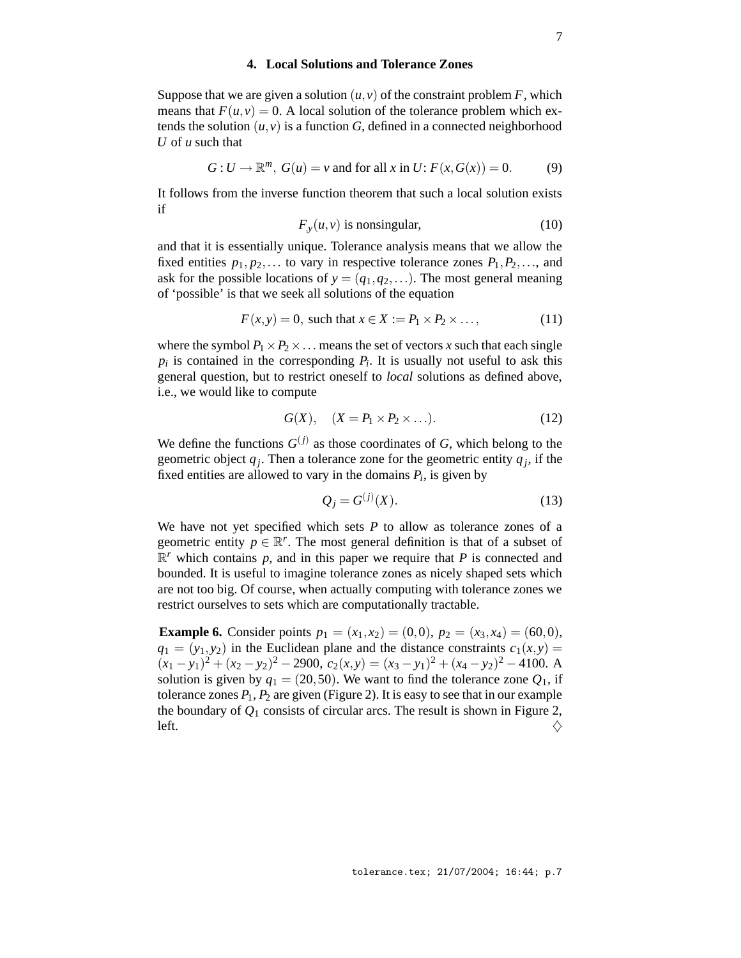#### **4. Local Solutions and Tolerance Zones**

Suppose that we are given a solution  $(u, v)$  of the constraint problem *F*, which means that  $F(u, v) = 0$ . A local solution of the tolerance problem which extends the solution  $(u, v)$  is a function  $G$ , defined in a connected neighborhood *U* of *u* such that

$$
G: U \to \mathbb{R}^m, G(u) = v \text{ and for all } x \text{ in } U: F(x, G(x)) = 0.
$$
 (9)

It follows from the inverse function theorem that such a local solution exists if

$$
F_{y}(u, v) \text{ is nonsingular}, \qquad (10)
$$

and that it is essentially unique. Tolerance analysis means that we allow the fixed entities  $p_1, p_2,...$  to vary in respective tolerance zones  $P_1, P_2,...$ , and ask for the possible locations of  $y = (q_1, q_2,...)$ . The most general meaning of 'possible' is that we seek all solutions of the equation

$$
F(x, y) = 0, \text{ such that } x \in X := P_1 \times P_2 \times \dots,
$$
 (11)

where the symbol  $P_1 \times P_2 \times \ldots$  means the set of vectors *x* such that each single  $p_i$  is contained in the corresponding  $P_i$ . It is usually not useful to ask this general question, but to restrict oneself to *local* solutions as defined above, i.e., we would like to compute

$$
G(X), (X = P_1 \times P_2 \times \ldots). \tag{12}
$$

We define the functions  $G^{(j)}$  as those coordinates of  $G$ , which belong to the geometric object  $q_j$ . Then a tolerance zone for the geometric entity  $q_j$ , if the fixed entities are allowed to vary in the domains  $P_i$ , is given by

$$
Q_j = G^{(j)}(X). \tag{13}
$$

We have not yet specified which sets  $P$  to allow as tolerance zones of a geometric entity  $p \in \mathbb{R}^r$ . The most general definition is that of a subset of  $\mathbb{R}^r$  which contains p, and in this paper we require that P is connected and bounded. It is useful to imagine tolerance zones as nicely shaped sets which are not too big. Of course, when actually computing with tolerance zones we restrict ourselves to sets which are computationally tractable.

**Example 6.** Consider points  $p_1 = (x_1, x_2) = (0, 0), p_2 = (x_3, x_4) = (60, 0),$  $q_1 = (y_1, y_2)$  in the Euclidean plane and the distance constraints  $c_1(x, y) =$  $(x_1 - y_1)^2 + (x_2 - y_2)^2 - 2900$ ,  $c_2(x, y) = (x_3 - y_1)^2 + (x_4 - y_2)^2 - 4100$ . A solution is given by  $q_1 = (20, 50)$ . We want to find the tolerance zone  $Q_1$ , if tolerance zones  $P_1$ ,  $P_2$  are given (Figure 2). It is easy to see that in our example the boundary of  $Q_1$  consists of circular arcs. The result is shown in Figure 2, left.  $\Diamond$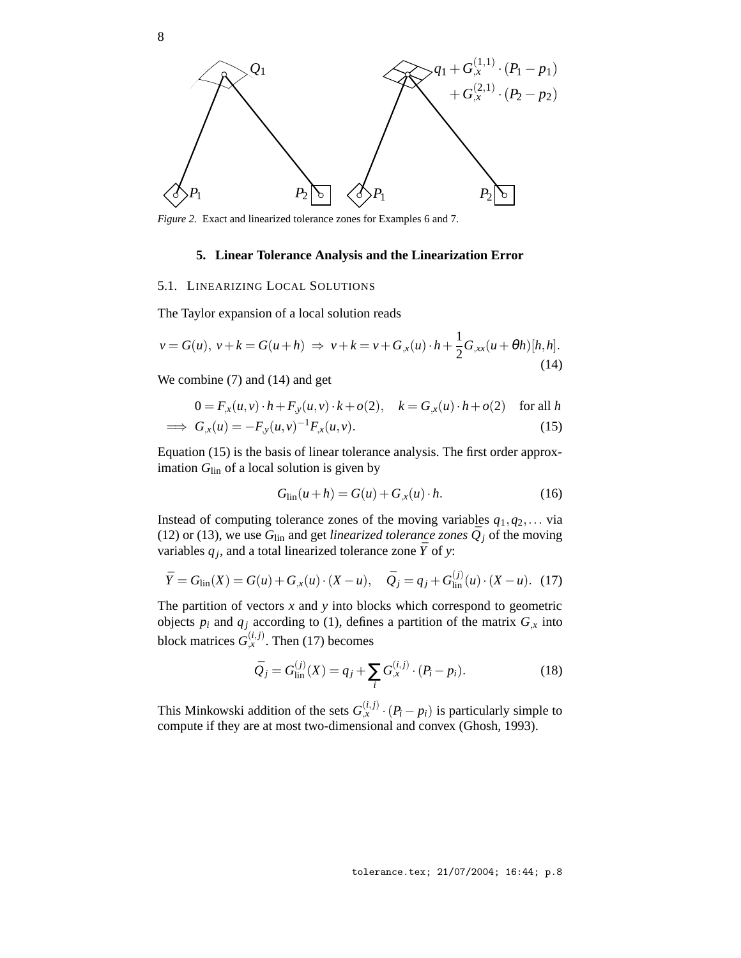

*Figure 2.* Exact and linearized tolerance zones for Examples 6 and 7.

#### **5. Linear Tolerance Analysis and the Linearization Error**

## 5.1. LINEARIZING LOCAL SOLUTIONS

The Taylor expansion of a local solution reads

$$
v = G(u), v + k = G(u + h) \Rightarrow v + k = v + G_{,x}(u) \cdot h + \frac{1}{2} G_{,xx}(u + \theta h)[h, h].
$$
\n(14)

We combine (7) and (14) and get

8

$$
0 = F_{,x}(u,v) \cdot h + F_{,y}(u,v) \cdot k + o(2), \quad k = G_{,x}(u) \cdot h + o(2) \quad \text{for all } h
$$
  

$$
\implies G_{,x}(u) = -F_{,y}(u,v)^{-1}F_{,x}(u,v). \tag{15}
$$

Equation (15) is the basis of linear tolerance analysis. The first order approximation *G*<sub>lin</sub> of a local solution is given by

$$
G_{\rm lin}(u+h) = G(u) + G_{,x}(u) \cdot h. \tag{16}
$$

Instead of computing tolerance zones of the moving variables  $q_1, q_2, \ldots$  via (12) or (13), we use  $\tilde{G}_{lin}$  and get *linearized tolerance zones*  $\bar{Q}_j$  of the moving variables  $q_j$ , and a total linearized tolerance zone  $\bar{Y}$  of *y*:

$$
\bar{Y} = G_{\text{lin}}(X) = G(u) + G_{,x}(u) \cdot (X - u), \quad \bar{Q}_j = q_j + G_{\text{lin}}^{(j)}(u) \cdot (X - u). \tag{17}
$$

The partition of vectors *x* and *y* into blocks which correspond to geometric objects  $p_i$  and  $q_j$  according to (1), defines a partition of the matrix  $G_x$  into block matrices  $G_{,x}^{(i,j)}$ . Then (17) becomes

$$
\bar{Q}_j = G_{\text{lin}}^{(j)}(X) = q_j + \sum_i G_x^{(i,j)} \cdot (P_i - p_i). \tag{18}
$$

This Minkowski addition of the sets  $G(x, y) \cdot (P_i - p_i)$  is particularly simple to compute if they are at most two-dimensional and convex (Ghosh, 1993).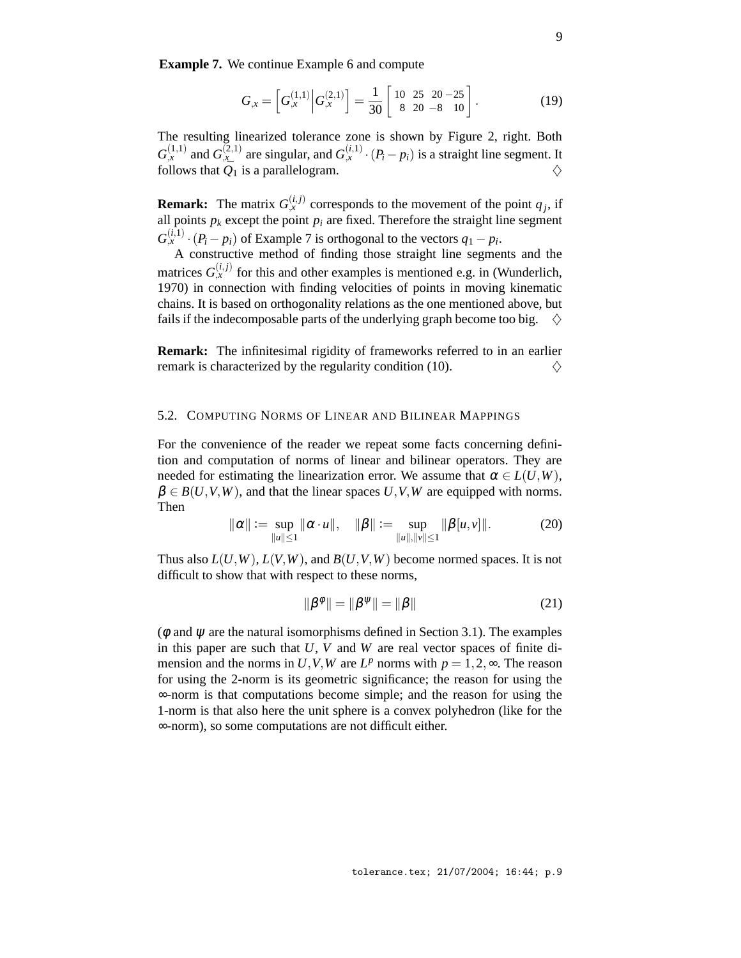**Example 7.** We continue Example 6 and compute

$$
G_{,x} = \left[ G_{,x}^{(1,1)} \middle| G_{,x}^{(2,1)} \right] = \frac{1}{30} \left[ \begin{array}{ccc} 10 & 25 & 20 & -25 \\ 8 & 20 & -8 & 10 \end{array} \right]. \tag{19}
$$

The resulting linearized tolerance zone is shown by Figure 2, right. Both  $G_{\mathcal{X}}^{(1,1)}$  and  $G_{\mathcal{X}}^{(2,1)}$  are singular, and  $G_{\mathcal{X}}^{(i,1)}$  ·  $(P_i - p_i)$  is a straight line segment. It follows that  $\overline{Q}_1$  is a parallelogram.

**Remark:** The matrix  $G_{\mu}^{(i,j)}$  corresponds to the movement of the point  $q_j$ , if all points  $p_k$  except the point  $p_i$  are fixed. Therefore the straight line segment  $G_{\mathcal{X}}^{(i,1)} \cdot (P_i - p_i)$  of Example 7 is orthogonal to the vectors  $q_1 - p_i$ .

A constructive method of finding those straight line segments and the matrices  $G_{,x}^{(i,j)}$  for this and other examples is mentioned e.g. in (Wunderlich, 1970) in connection with finding velocities of points in moving kinematic chains. It is based on orthogonality relations as the one mentioned above, but fails if the indecomposable parts of the underlying graph become too big.

**Remark:** The infinitesimal rigidity of frameworks referred to in an earlier remark is characterized by the regularity condition (10).  $\Diamond$ 

## 5.2. COMPUTING NORMS OF LINEAR AND BILINEAR MAPPINGS

For the convenience of the reader we repeat some facts concerning definition and computation of norms of linear and bilinear operators. They are needed for estimating the linearization error. We assume that  $\alpha \in L(U,W)$ ,  $\beta \in B(U, V, W)$ , and that the linear spaces *U*, *V*, *W* are equipped with norms. Then

$$
\|\alpha\| := \sup_{\|u\| \le 1} \|\alpha \cdot u\|, \quad \|\beta\| := \sup_{\|u\|, \|v\| \le 1} \|\beta[u, v]\|.
$$
 (20)

Thus also  $L(U, W)$ ,  $L(V, W)$ , and  $B(U, V, W)$  become normed spaces. It is not difficult to show that with respect to these norms,

$$
\|\beta^{\phi}\| = \|\beta^{\psi}\| = \|\beta\| \tag{21}
$$

( $\phi$  and  $\psi$  are the natural isomorphisms defined in Section 3.1). The examples in this paper are such that *U*, *V* and *W* are real vector spaces of finite dimension and the norms in  $U, V, W$  are  $L^p$  norms with  $p = 1, 2, \infty$ . The reason for using the 2-norm is its geometric significance; the reason for using the ∞-norm is that computations become simple; and the reason for using the 1-norm is that also here the unit sphere is a convex polyhedron (like for the ∞-norm), so some computations are not difficult either.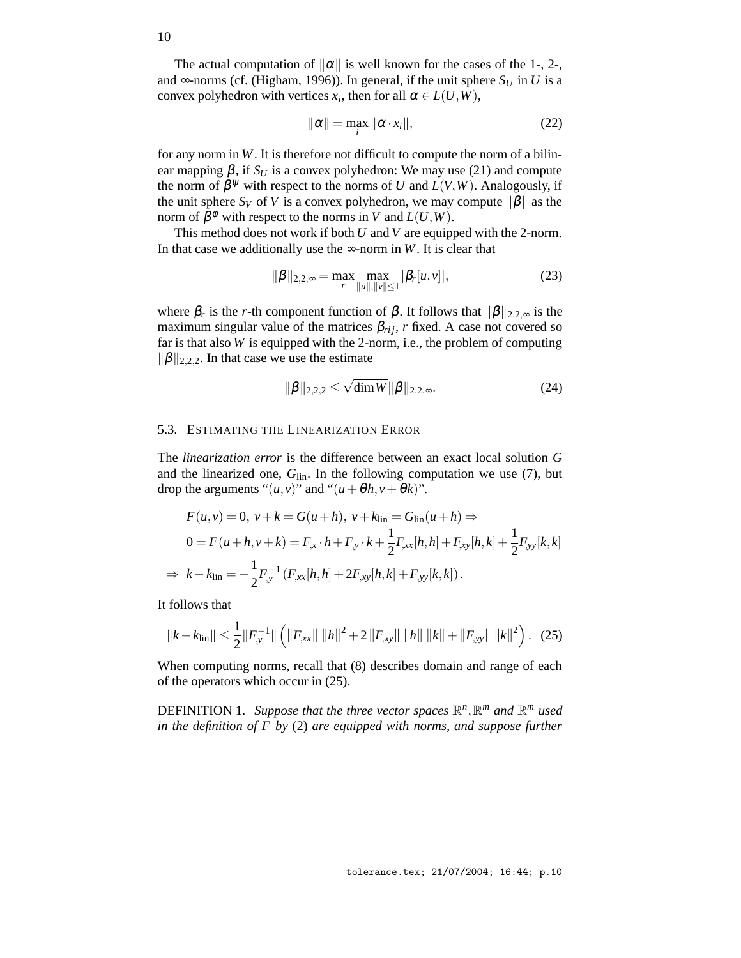The actual computation of  $\|\alpha\|$  is well known for the cases of the 1-, 2-, and ∞-norms (cf. (Higham, 1996)). In general, if the unit sphere  $S_U$  in *U* is a convex polyhedron with vertices  $x_i$ , then for all  $\alpha \in L(U, W)$ ,

$$
\|\alpha\| = \max_{i} \|\alpha \cdot x_i\|,\tag{22}
$$

for any norm in *W*. It is therefore not difficult to compute the norm of a bilinear mapping  $\beta$ , if  $S_U$  is a convex polyhedron: We may use (21) and compute the norm of  $\beta^{\psi}$  with respect to the norms of *U* and  $L(V, W)$ . Analogously, if the unit sphere  $S_V$  of *V* is a convex polyhedron, we may compute  $\|\beta\|$  as the norm of  $\beta^{\phi}$  with respect to the norms in *V* and  $L(U, W)$ .

This method does not work if both *U* and *V* are equipped with the 2-norm. In that case we additionally use the  $\infty$ -norm in *W*. It is clear that

$$
\|\beta\|_{2,2,\infty} = \max_{r} \max_{\|u\|, \|v\| \le 1} |\beta_r[u,v]|,\tag{23}
$$

where  $\beta_r$  is the *r*-th component function of  $\beta$ . It follows that  $\|\beta\|_{2,2,\infty}$  is the maximum singular value of the matrices  $\beta_{rij}$ , *r* fixed. A case not covered so far is that also *W* is equipped with the 2-norm, i.e., the problem of computing  $\|\beta\|_{2,2,2}$ . In that case we use the estimate

$$
\|\beta\|_{2,2,2} \le \sqrt{\dim W} \|\beta\|_{2,2,\infty}.\tag{24}
$$

#### 5.3. ESTIMATING THE LINEARIZATION ERROR

The *linearization error* is the difference between an exact local solution *G* and the linearized one,  $G_{lin}$ . In the following computation we use  $(7)$ , but drop the arguments " $(u, v)$ " and " $(u + \theta h, v + \theta k)$ ".

$$
F(u, v) = 0, v + k = G(u + h), v + k_{\text{lin}} = G_{\text{lin}}(u + h) \Rightarrow
$$
  
\n
$$
0 = F(u + h, v + k) = F_{,x} \cdot h + F_{,y} \cdot k + \frac{1}{2} F_{,xx}[h, h] + F_{,xy}[h, k] + \frac{1}{2} F_{,yy}[k, k]
$$
  
\n
$$
\Rightarrow k - k_{\text{lin}} = -\frac{1}{2} F_{,y}^{-1} (F_{,xx}[h, h] + 2F_{,xy}[h, k] + F_{,yy}[k, k]).
$$

It follows that

$$
||k - k_{\text{lin}}|| \leq \frac{1}{2} ||F_{,y}^{-1}|| \left( ||F_{,xx}|| ||h||^2 + 2 ||F_{,xy}|| ||h|| ||k|| + ||F_{,yy}|| ||k||^2 \right). \tag{25}
$$

When computing norms, recall that (8) describes domain and range of each of the operators which occur in (25).

DEFINITION 1. Suppose that the three vector spaces  $\mathbb{R}^n$ ,  $\mathbb{R}^m$  and  $\mathbb{R}^m$  used *in the definition of F by* (2) *are equipped with norms, and suppose further*

10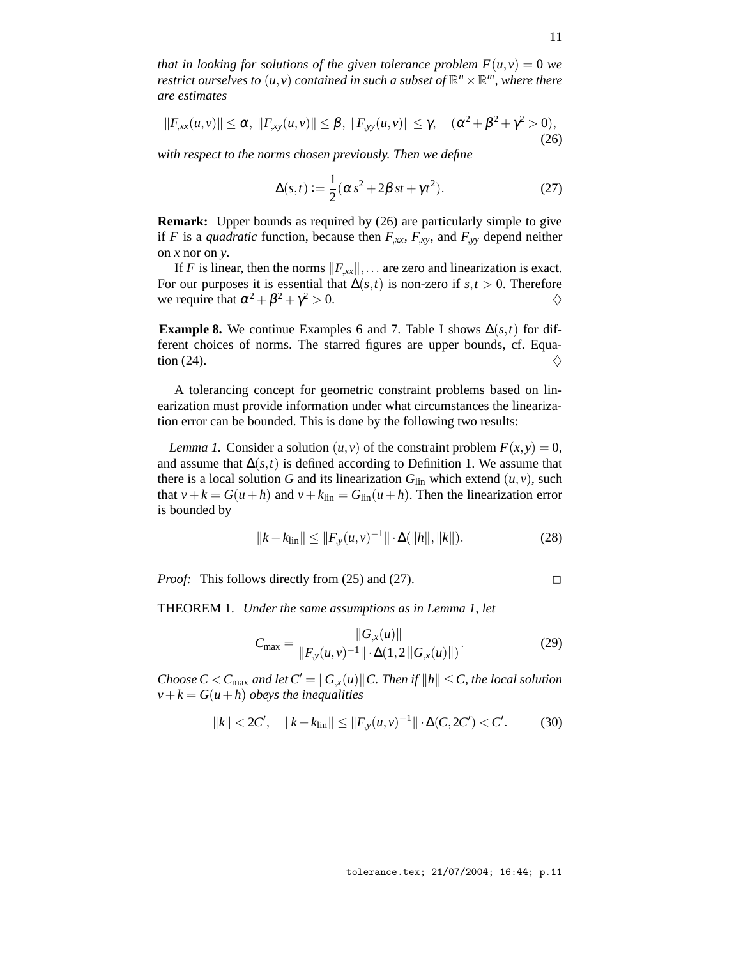*that* in looking for solutions of the given tolerance problem  $F(u, v) = 0$  we *restrict ourselves to*  $(u, v)$  *contained in such a subset of*  $\mathbb{R}^n \times \mathbb{R}^m$ *, where there are estimates*

$$
||F_{,xx}(u,v)|| \le \alpha, ||F_{,xy}(u,v)|| \le \beta, ||F_{,yy}(u,v)|| \le \gamma, \quad (\alpha^2 + \beta^2 + \gamma^2 > 0),
$$
\n(26)

*with respect to the norms chosen previously. Then we define*

$$
\Delta(s,t) := \frac{1}{2}(\alpha s^2 + 2\beta st + \gamma t^2). \tag{27}
$$

**Remark:** Upper bounds as required by (26) are particularly simple to give if *F* is a *quadratic* function, because then  $F_{,xx}$ ,  $F_{,xy}$ , and  $F_{,yy}$  depend neither on *x* nor on *y*.

If *F* is linear, then the norms  $||F_{xx}||$ ,... are zero and linearization is exact. For our purposes it is essential that  $\Delta(s,t)$  is non-zero if  $s,t > 0$ . Therefore we require that  $\alpha^2 + \beta^2 + \gamma^2$  $2 > 0$ .

**Example 8.** We continue Examples 6 and 7. Table I shows  $\Delta(s,t)$  for different choices of norms. The starred figures are upper bounds, cf. Equation (24).  $\diamondsuit$ 

A tolerancing concept for geometric constraint problems based on linearization must provide information under what circumstances the linearization error can be bounded. This is done by the following two results:

*Lemma 1.* Consider a solution  $(u, v)$  of the constraint problem  $F(x, y) = 0$ , and assume that  $\Delta(s,t)$  is defined according to Definition 1. We assume that there is a local solution *G* and its linearization  $G_{lin}$  which extend  $(u, v)$ , such that  $v + k = G(u + h)$  and  $v + k_{lin} = G_{lin}(u + h)$ . Then the linearization error is bounded by

$$
||k - k_{\text{lin}}|| \le ||F_{y}(u, v)^{-1}|| \cdot \Delta(||h||, ||k||). \tag{28}
$$

*Proof:* This follows directly from (25) and (27).

THEOREM 1. *Under the same assumptions as in Lemma 1, let*

$$
C_{\max} = \frac{\|G_{,x}(u)\|}{\|F_{,y}(u,v)^{-1}\| \cdot \Delta(1,2\|G_{,x}(u)\|)}.
$$
 (29)

*Choose*  $C < C_{\text{max}}$  *and let*  $C' = ||G_{x}(u)||C$ . *Then if*  $||h|| \leq C$ , the local solution  $v + k = G(u + h)$  *obeys the inequalities* 

$$
||k|| < 2C', \quad ||k - k_{\text{lin}}|| \le ||F_{y}(u, v)^{-1}|| \cdot \Delta(C, 2C') < C'. \tag{30}
$$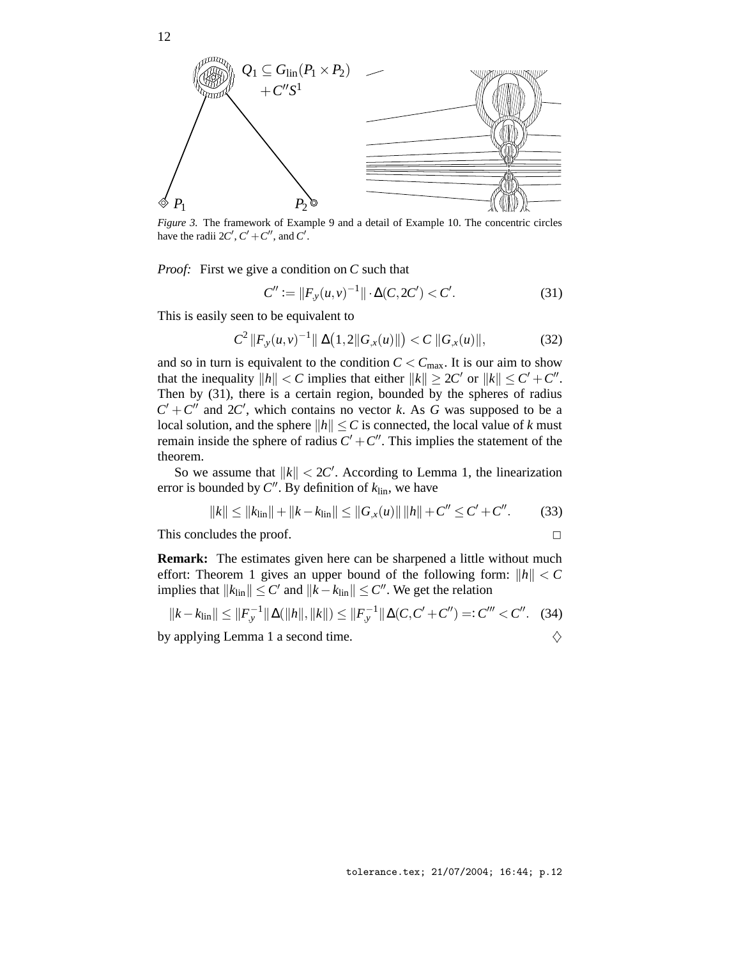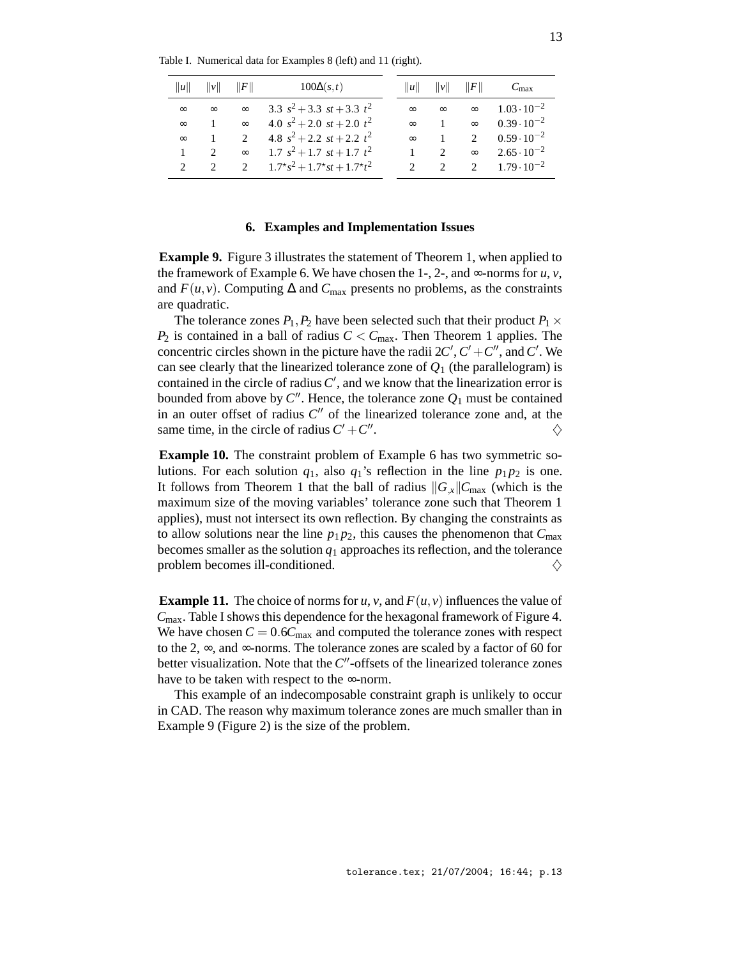Table I. Numerical data for Examples 8 (left) and 11 (right).

|              | $  u  $ $  v  $ $  F  $    |          | $100\Delta(s,t)$                        |                | $  u  $ $  v  $ $  F  $ | $C_{\rm max}$                        |
|--------------|----------------------------|----------|-----------------------------------------|----------------|-------------------------|--------------------------------------|
| $\infty$     | $\infty$                   |          | $\infty$ 3.3 $s^2 + 3.3$ st + 3.3 $t^2$ | $\infty$       |                         | $\infty \infty$ $1.03 \cdot 10^{-2}$ |
| $\infty$     | $\overline{1}$             | $\infty$ | 4.0 $s^2 + 2.0 st + 2.0 t^2$            | $\infty$       | $\blacksquare$          | $\infty$ 0.39.10 <sup>-2</sup>       |
| $\infty$     | $\blacksquare$             |          | 2 4.8 $s^2 + 2.2 st + 2.2 t^2$          | $\infty$       |                         | 1 2 $0.59 \cdot 10^{-2}$             |
| $\mathbf{1}$ | $\overline{\phantom{a}}$ 2 |          | $\infty$ 1.7 $s^2 + 1.7$ st + 1.7 $t^2$ |                | $1 \quad 2$             | $\infty$ 2.65.10 <sup>-2</sup>       |
|              |                            |          | 2 2 2 $1.7^*s^2+1.7^*st+1.7^*t^2$       | $\overline{2}$ |                         | 2 2 $1.79 \cdot 10^{-2}$             |

## **6. Examples and Implementation Issues**

**Example 9.** Figure 3 illustrates the statement of Theorem 1, when applied to the framework of Example 6. We have chosen the  $1-$ ,  $2-$ , and  $\infty$ -norms for  $u, v$ , and  $F(u, v)$ . Computing  $\Delta$  and  $C_{\text{max}}$  presents no problems, as the constraints are quadratic.

The tolerance zones  $P_1$ ,  $P_2$  have been selected such that their product  $P_1 \times$  $P_2$  is contained in a ball of radius  $C < C_{\text{max}}$ . Then Theorem 1 applies. The concentric circles shown in the picture have the radii  $2C', C' + C''$ , and *C'*. We can see clearly that the linearized tolerance zone of  $Q_1$  (the parallelogram) is contained in the circle of radius  $C'$ , and we know that the linearization error is bounded from above by  $C''$ . Hence, the tolerance zone  $Q_1$  must be contained in an outer offset of radius  $C''$  of the linearized tolerance zone and, at the same time, in the circle of radius  $C' + C''$ .  $\Diamond$ 

**Example 10.** The constraint problem of Example 6 has two symmetric solutions. For each solution  $q_1$ , also  $q_1$ 's reflection in the line  $p_1 p_2$  is one. It follows from Theorem 1 that the ball of radius  $||G_x||C_{\text{max}}$  (which is the maximum size of the moving variables' tolerance zone such that Theorem 1 applies), must not intersect its own reflection. By changing the constraints as to allow solutions near the line  $p_1 p_2$ , this causes the phenomenon that  $C_{\text{max}}$ becomes smaller as the solution *q*<sup>1</sup> approaches its reflection, and the tolerance problem becomes ill-conditioned.  $\diamondsuit$ 

**Example 11.** The choice of norms for *u*, *v*, and  $F(u, v)$  influences the value of *C*<sub>max</sub>. Table I shows this dependence for the hexagonal framework of Figure 4. We have chosen  $C = 0.6C_{\text{max}}$  and computed the tolerance zones with respect to the 2, ∞, and ∞-norms. The tolerance zones are scaled by a factor of 60 for better visualization. Note that the C<sup>"</sup>-offsets of the linearized tolerance zones have to be taken with respect to the ∞-norm.

This example of an indecomposable constraint graph is unlikely to occur in CAD. The reason why maximum tolerance zones are much smaller than in Example 9 (Figure 2) is the size of the problem.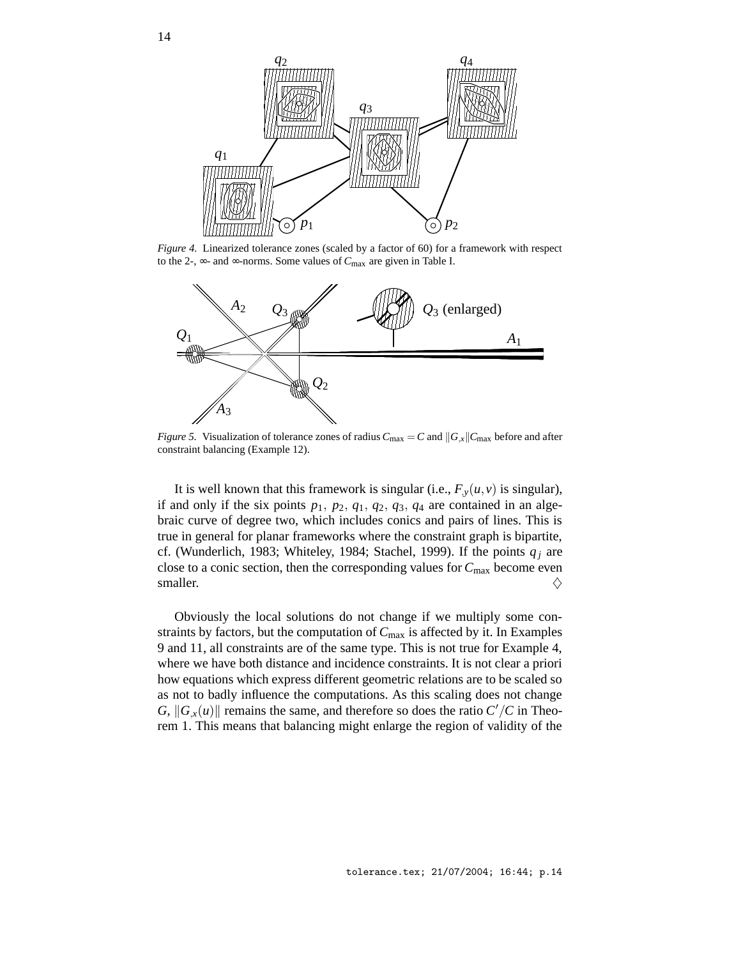

tolerance.tex; 21/07/2004; 16:44; p.14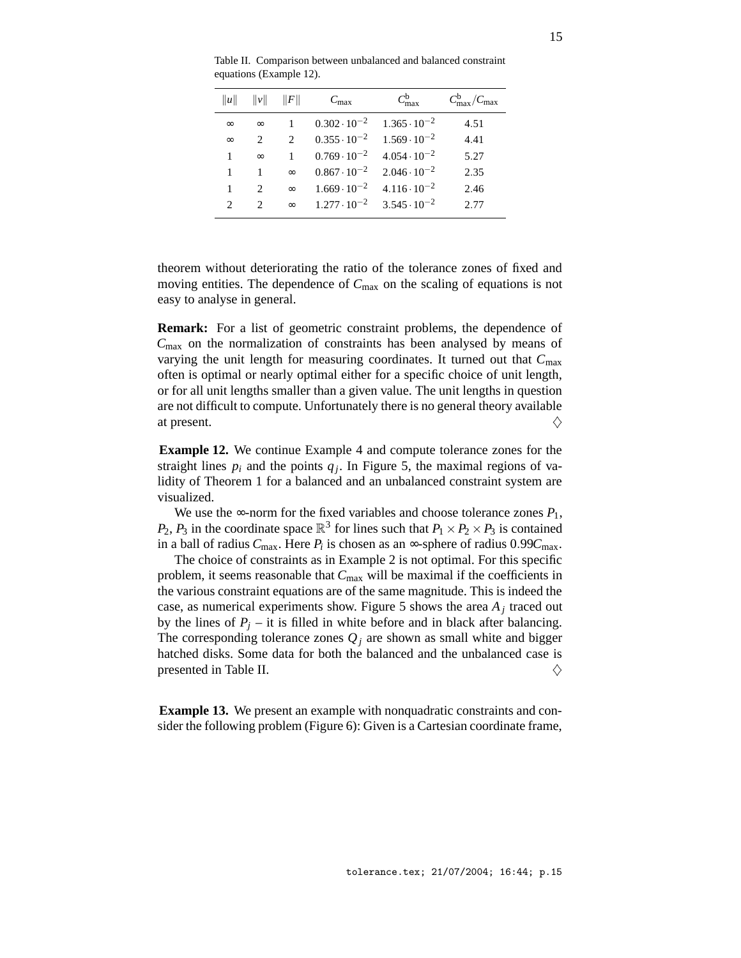| u                           | v                           | F                           | $C_{\rm max}$         | $C_{\text{max}}^{\text{b}}$ | $C_{\rm max}^{\rm b}/C_{\rm max}$ |
|-----------------------------|-----------------------------|-----------------------------|-----------------------|-----------------------------|-----------------------------------|
| $\infty$                    | $\infty$                    |                             | $0.302 \cdot 10^{-2}$ | $1.365 \cdot 10^{-2}$       | 4.51                              |
| $\infty$                    | $\mathcal{D}_{\mathcal{L}}$ | $\mathcal{D}_{\mathcal{L}}$ | $0.355 \cdot 10^{-2}$ | $1.569 \cdot 10^{-2}$       | 4.41                              |
| 1                           | $\infty$                    |                             | $0.769 \cdot 10^{-2}$ | $4.054 \cdot 10^{-2}$       | 5.27                              |
| 1                           | 1                           | $\infty$                    | $0.867 \cdot 10^{-2}$ | $2.046 \cdot 10^{-2}$       | 2.35                              |
| 1                           | $\mathcal{D}_{\mathcal{L}}$ | $\infty$                    | $1.669 \cdot 10^{-2}$ | $4.116 \cdot 10^{-2}$       | 2.46                              |
| $\mathcal{D}_{\mathcal{A}}$ | $\mathcal{D}$               | $\infty$                    | $1.277 \cdot 10^{-2}$ | $3.545 \cdot 10^{-2}$       | 2.77                              |

Table II. Comparison between unbalanced and balanced constraint equations (Example 12).

theorem without deteriorating the ratio of the tolerance zones of fixed and moving entities. The dependence of *C*max on the scaling of equations is not easy to analyse in general.

**Remark:** For a list of geometric constraint problems, the dependence of *C*max on the normalization of constraints has been analysed by means of varying the unit length for measuring coordinates. It turned out that *C*max often is optimal or nearly optimal either for a specific choice of unit length, or for all unit lengths smaller than a given value. The unit lengths in question are not difficult to compute. Unfortunately there is no general theory available at present.  $\diamondsuit$ 

**Example 12.** We continue Example 4 and compute tolerance zones for the straight lines  $p_i$  and the points  $q_j$ . In Figure 5, the maximal regions of validity of Theorem 1 for a balanced and an unbalanced constraint system are visualized.

We use the ∞-norm for the fixed variables and choose tolerance zones  $P_1$ , *P*<sub>2</sub>, *P*<sub>3</sub> in the coordinate space  $\mathbb{R}^3$  for lines such that  $P_1 \times P_2 \times P_3$  is contained in a ball of radius  $C_{\text{max}}$ . Here  $P_i$  is chosen as an ∞-sphere of radius 0.99 $C_{\text{max}}$ .

The choice of constraints as in Example 2 is not optimal. For this specific problem, it seems reasonable that  $C_{\text{max}}$  will be maximal if the coefficients in the various constraint equations are of the same magnitude. This is indeed the case, as numerical experiments show. Figure 5 shows the area  $A_j$  traced out by the lines of  $P_j$  – it is filled in white before and in black after balancing. The corresponding tolerance zones  $Q_i$  are shown as small white and bigger hatched disks. Some data for both the balanced and the unbalanced case is presented in Table II.  $\Diamond$ 

**Example 13.** We present an example with nonquadratic constraints and consider the following problem (Figure 6): Given is a Cartesian coordinate frame,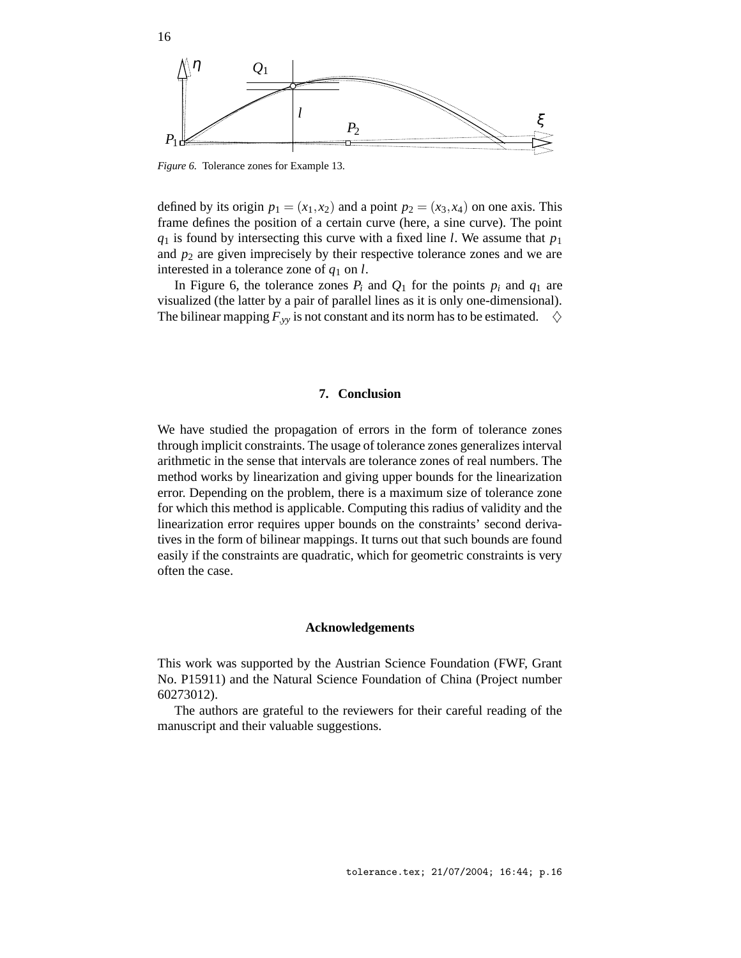

*Figure 6.* Tolerance zones for Example 13.

16

defined by its origin  $p_1 = (x_1, x_2)$  and a point  $p_2 = (x_3, x_4)$  on one axis. This frame defines the position of a certain curve (here, a sine curve). The point *q*<sup>1</sup> is found by intersecting this curve with a fixed line *l*. We assume that *p*<sup>1</sup> and  $p_2$  are given imprecisely by their respective tolerance zones and we are interested in a tolerance zone of *q*<sup>1</sup> on *l*.

In Figure 6, the tolerance zones  $P_i$  and  $Q_1$  for the points  $p_i$  and  $q_1$  are visualized (the latter by a pair of parallel lines as it is only one-dimensional). The bilinear mapping  $F_{,yy}$  is not constant and its norm has to be estimated.  $\Diamond$ 

## **7. Conclusion**

We have studied the propagation of errors in the form of tolerance zones through implicit constraints. The usage of tolerance zones generalizes interval arithmetic in the sense that intervals are tolerance zones of real numbers. The method works by linearization and giving upper bounds for the linearization error. Depending on the problem, there is a maximum size of tolerance zone for which this method is applicable. Computing this radius of validity and the linearization error requires upper bounds on the constraints' second derivatives in the form of bilinear mappings. It turns out that such bounds are found easily if the constraints are quadratic, which for geometric constraints is very often the case.

## **Acknowledgements**

This work was supported by the Austrian Science Foundation (FWF, Grant No. P15911) and the Natural Science Foundation of China (Project number 60273012).

The authors are grateful to the reviewers for their careful reading of the manuscript and their valuable suggestions.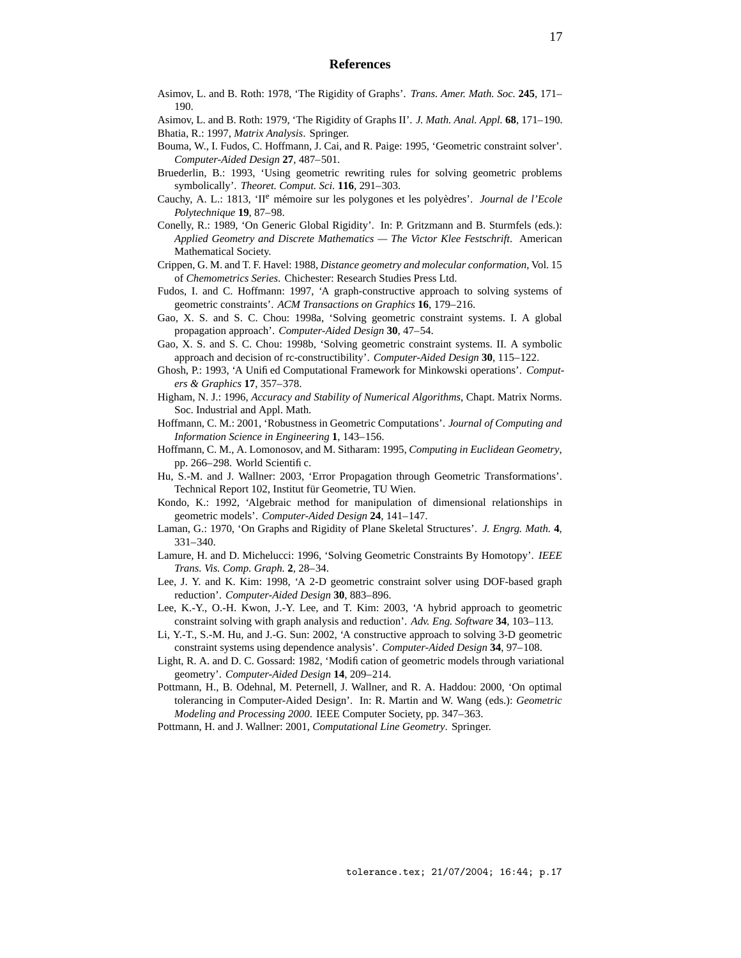#### **References**

- Asimov, L. and B. Roth: 1978, 'The Rigidity of Graphs'. *Trans. Amer. Math. Soc.* **245**, 171– 190.
- Asimov, L. and B. Roth: 1979, 'The Rigidity of Graphs II'. *J. Math. Anal. Appl.* **68**, 171–190. Bhatia, R.: 1997, *Matrix Analysis*. Springer.
- Bouma, W., I. Fudos, C. Hoffmann, J. Cai, and R. Paige: 1995, 'Geometric constraint solver'. *Computer-Aided Design* **27**, 487–501.
- Bruederlin, B.: 1993, 'Using geometric rewriting rules for solving geometric problems symbolically'. *Theoret. Comput. Sci.* **116**, 291–303.
- Cauchy, A. L.: 1813, 'II<sup>e</sup> mémoire sur les polygones et les polyèdres'. *Journal de l'Ecole Polytechnique* **19**, 87–98.
- Conelly, R.: 1989, 'On Generic Global Rigidity'. In: P. Gritzmann and B. Sturmfels (eds.): *Applied Geometry and Discrete Mathematics — The Victor Klee Festschrift*. American Mathematical Society.
- Crippen, G. M. and T. F. Havel: 1988, *Distance geometry and molecular conformation*, Vol. 15 of *Chemometrics Series*. Chichester: Research Studies Press Ltd.
- Fudos, I. and C. Hoffmann: 1997, 'A graph-constructive approach to solving systems of geometric constraints'. *ACM Transactions on Graphics* **16**, 179–216.
- Gao, X. S. and S. C. Chou: 1998a, 'Solving geometric constraint systems. I. A global propagation approach'. *Computer-Aided Design* **30**, 47–54.
- Gao, X. S. and S. C. Chou: 1998b, 'Solving geometric constraint systems. II. A symbolic approach and decision of rc-constructibility'. *Computer-Aided Design* **30**, 115–122.
- Ghosh, P.: 1993, 'A Unified Computational Framework for Minkowski operations'. *Computers & Graphics* **17**, 357–378.
- Higham, N. J.: 1996, *Accuracy and Stability of Numerical Algorithms*, Chapt. Matrix Norms. Soc. Industrial and Appl. Math.
- Hoffmann, C. M.: 2001, 'Robustness in Geometric Computations'. *Journal of Computing and Information Science in Engineering* **1**, 143–156.
- Hoffmann, C. M., A. Lomonosov, and M. Sitharam: 1995, *Computing in Euclidean Geometry*, pp. 266–298. World Scientific.
- Hu, S.-M. and J. Wallner: 2003, 'Error Propagation through Geometric Transformations'. Technical Report 102, Institut für Geometrie, TU Wien.
- Kondo, K.: 1992, 'Algebraic method for manipulation of dimensional relationships in geometric models'. *Computer-Aided Design* **24**, 141–147.
- Laman, G.: 1970, 'On Graphs and Rigidity of Plane Skeletal Structures'. *J. Engrg. Math.* **4**, 331–340.
- Lamure, H. and D. Michelucci: 1996, 'Solving Geometric Constraints By Homotopy'. *IEEE Trans. Vis. Comp. Graph.* **2**, 28–34.
- Lee, J. Y. and K. Kim: 1998, 'A 2-D geometric constraint solver using DOF-based graph reduction'. *Computer-Aided Design* **30**, 883–896.
- Lee, K.-Y., O.-H. Kwon, J.-Y. Lee, and T. Kim: 2003, 'A hybrid approach to geometric constraint solving with graph analysis and reduction'. *Adv. Eng. Software* **34**, 103–113.
- Li, Y.-T., S.-M. Hu, and J.-G. Sun: 2002, 'A constructive approach to solving 3-D geometric constraint systems using dependence analysis'. *Computer-Aided Design* **34**, 97–108.
- Light, R. A. and D. C. Gossard: 1982, 'Modification of geometric models through variational geometry'. *Computer-Aided Design* **14**, 209–214.
- Pottmann, H., B. Odehnal, M. Peternell, J. Wallner, and R. A. Haddou: 2000, 'On optimal tolerancing in Computer-Aided Design'. In: R. Martin and W. Wang (eds.): *Geometric Modeling and Processing 2000*. IEEE Computer Society, pp. 347–363.
- Pottmann, H. and J. Wallner: 2001, *Computational Line Geometry*. Springer.